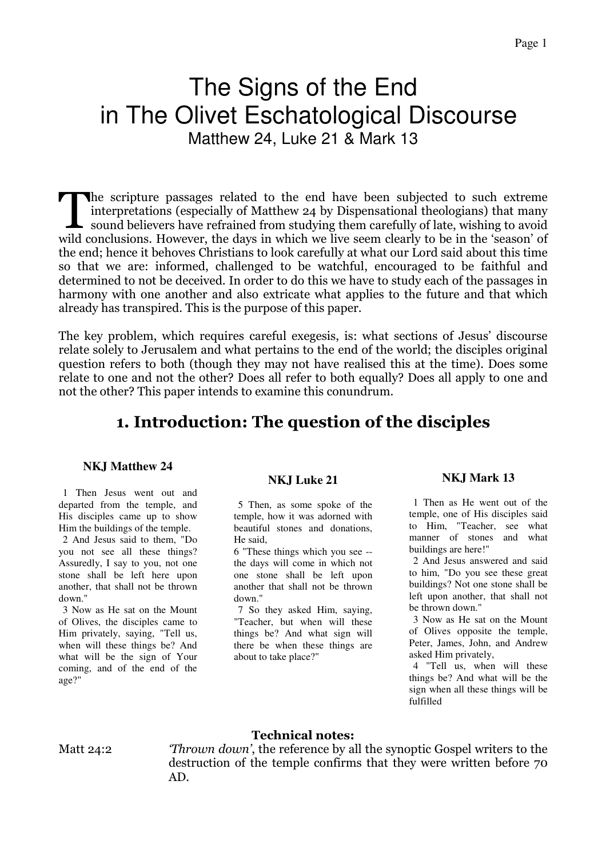# The Signs of the End in The Olivet Eschatological Discourse

Matthew 24, Luke 21 & Mark 13

he scripture passages related to the end have been subjected to such extreme interpretations (especially of Matthew 24 by Dispensational theologians) that many The scripture passages related to the end have been subjected to such extreme<br>interpretations (especially of Matthew 24 by Dispensational theologians) that many<br>sound believers have refrained from studying them carefully o wild conclusions. However, the days in which we live seem clearly to be in the 'season' of the end; hence it behoves Christians to look carefully at what our Lord said about this time so that we are: informed, challenged to be watchful, encouraged to be faithful and determined to not be deceived. In order to do this we have to study each of the passages in harmony with one another and also extricate what applies to the future and that which already has transpired. This is the purpose of this paper.

The key problem, which requires careful exegesis, is: what sections of Jesus' discourse relate solely to Jerusalem and what pertains to the end of the world; the disciples original question refers to both (though they may not have realised this at the time). Does some relate to one and not the other? Does all refer to both equally? Does all apply to one and not the other? This paper intends to examine this conundrum.

### 1. Introduction: The question of the disciples

#### **NKJ Matthew 24**

 1 Then Jesus went out and departed from the temple, and His disciples came up to show Him the buildings of the temple.

 2 And Jesus said to them, "Do you not see all these things? Assuredly, I say to you, not one stone shall be left here upon another, that shall not be thrown down."

 3 Now as He sat on the Mount of Olives, the disciples came to Him privately, saying, "Tell us, when will these things be? And what will be the sign of Your coming, and of the end of the age?"

#### **NKJ Luke 21**

 5 Then, as some spoke of the temple, how it was adorned with beautiful stones and donations, He said,

6 "These things which you see - the days will come in which not one stone shall be left upon another that shall not be thrown down."

 7 So they asked Him, saying, "Teacher, but when will these things be? And what sign will there be when these things are about to take place?"

#### **NKJ Mark 13**

 1 Then as He went out of the temple, one of His disciples said to Him, "Teacher, see what manner of stones and what buildings are here!"

 2 And Jesus answered and said to him, "Do you see these great buildings? Not one stone shall be left upon another, that shall not be thrown down."

 3 Now as He sat on the Mount of Olives opposite the temple, Peter, James, John, and Andrew asked Him privately,

 4 "Tell us, when will these things be? And what will be the sign when all these things will be fulfilled

#### Technical notes:

Matt 24:2 *Thrown down'*, the reference by all the synoptic Gospel writers to the destruction of the temple confirms that they were written before 70 AD.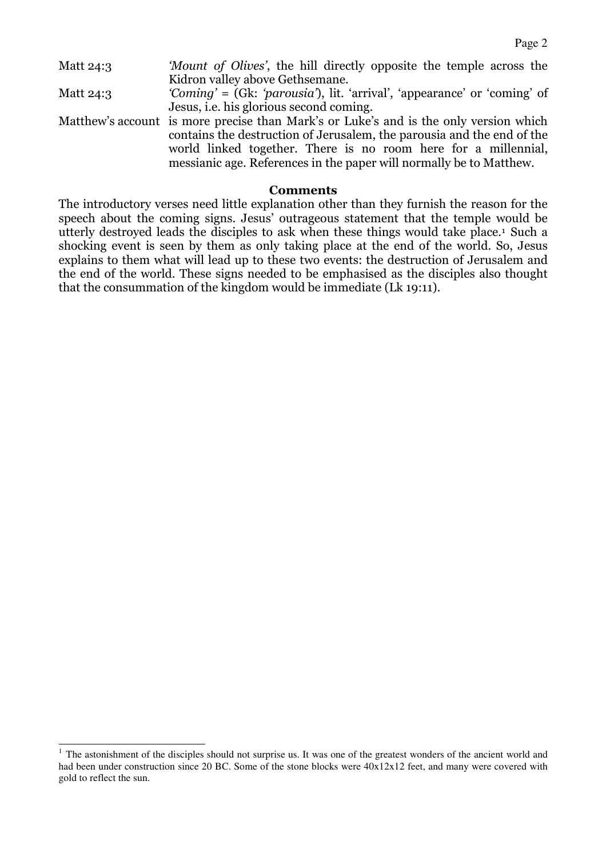| 'Mount of Olives', the hill directly opposite the temple across the                   |
|---------------------------------------------------------------------------------------|
| Kidron valley above Gethsemane.                                                       |
| 'Coming' = (Gk: 'parousia'), lit. 'arrival', 'appearance' or 'coming' of              |
| Jesus, <i>i.e.</i> his glorious second coming.                                        |
| Matthew's account is more precise than Mark's or Luke's and is the only version which |
| contains the destruction of Jerusalem, the parousia and the end of the                |
| world linked together. There is no room here for a millennial,                        |
| messianic age. References in the paper will normally be to Matthew.                   |
|                                                                                       |

#### Comments

The introductory verses need little explanation other than they furnish the reason for the speech about the coming signs. Jesus' outrageous statement that the temple would be utterly destroyed leads the disciples to ask when these things would take place.<sup>1</sup> Such a shocking event is seen by them as only taking place at the end of the world. So, Jesus explains to them what will lead up to these two events: the destruction of Jerusalem and the end of the world. These signs needed to be emphasised as the disciples also thought that the consummation of the kingdom would be immediate (Lk 19:11).

-

<sup>&</sup>lt;sup>1</sup> The astonishment of the disciples should not surprise us. It was one of the greatest wonders of the ancient world and had been under construction since 20 BC. Some of the stone blocks were  $40x12x12$  feet, and many were covered with gold to reflect the sun.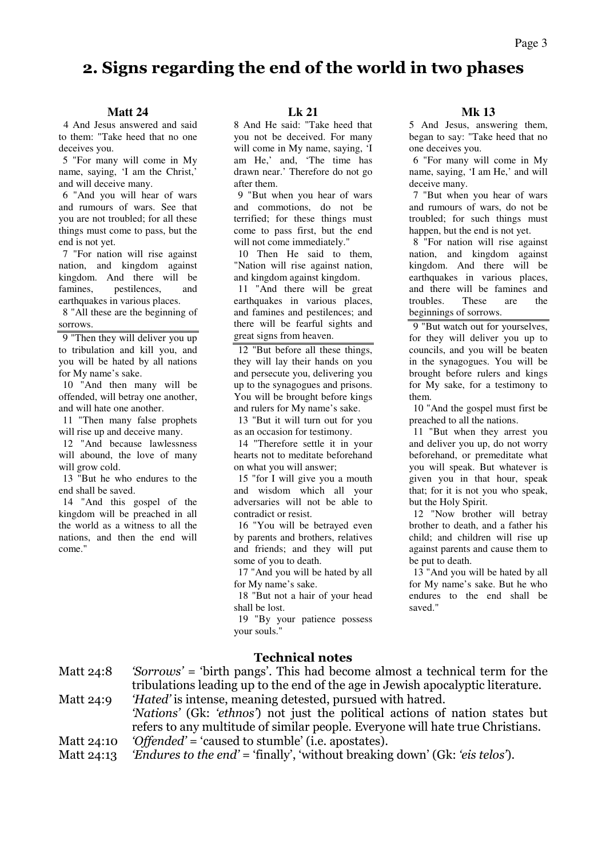#### Page 3

### 2. Signs regarding the end of the world in two phases

#### **Matt 24**

4 And Jesus answered and said to them: "Take heed that no one deceives you.

 5 "For many will come in My name, saying, 'I am the Christ,' and will deceive many.

 6 "And you will hear of wars and rumours of wars. See that you are not troubled; for all these things must come to pass, but the end is not yet.

 7 "For nation will rise against nation, and kingdom against kingdom. And there will be famines, pestilences, and earthquakes in various places.

 8 "All these are the beginning of sorrows.

 9 "Then they will deliver you up to tribulation and kill you, and you will be hated by all nations for My name's sake.

 10 "And then many will be offended, will betray one another, and will hate one another.

 11 "Then many false prophets will rise up and deceive many.

 12 "And because lawlessness will abound, the love of many will grow cold.

 13 "But he who endures to the end shall be saved.

 14 "And this gospel of the kingdom will be preached in all the world as a witness to all the nations, and then the end will come."

**Lk 21** 

8 And He said: "Take heed that you not be deceived. For many will come in My name, saying, 'I am He,' and, 'The time has drawn near.' Therefore do not go after them.

 9 "But when you hear of wars and commotions, do not be terrified; for these things must come to pass first, but the end will not come immediately."

 10 Then He said to them, "Nation will rise against nation, and kingdom against kingdom.

 11 "And there will be great earthquakes in various places, and famines and pestilences; and there will be fearful sights and great signs from heaven.

 12 "But before all these things, they will lay their hands on you and persecute you, delivering you up to the synagogues and prisons. You will be brought before kings and rulers for My name's sake.

 13 "But it will turn out for you as an occasion for testimony.

 14 "Therefore settle it in your hearts not to meditate beforehand on what you will answer;

 15 "for I will give you a mouth and wisdom which all your adversaries will not be able to contradict or resist.

 16 "You will be betrayed even by parents and brothers, relatives and friends; and they will put some of you to death.

 17 "And you will be hated by all for My name's sake.

 18 "But not a hair of your head shall be lost.

 19 "By your patience possess your souls."

#### **Mk 13**

5 And Jesus, answering them, began to say: "Take heed that no one deceives you.

 6 "For many will come in My name, saying, 'I am He,' and will deceive many.

 7 "But when you hear of wars and rumours of wars, do not be troubled; for such things must happen, but the end is not yet.

 8 "For nation will rise against nation, and kingdom against kingdom. And there will be earthquakes in various places, and there will be famines and troubles. These are the beginnings of sorrows.

 9 "But watch out for yourselves, for they will deliver you up to councils, and you will be beaten in the synagogues. You will be brought before rulers and kings for My sake, for a testimony to them.

 10 "And the gospel must first be preached to all the nations.

 11 "But when they arrest you and deliver you up, do not worry beforehand, or premeditate what you will speak. But whatever is given you in that hour, speak that; for it is not you who speak, but the Holy Spirit.

 12 "Now brother will betray brother to death, and a father his child; and children will rise up against parents and cause them to be put to death.

 13 "And you will be hated by all for My name's sake. But he who endures to the end shall be saved."

#### Technical notes

| Matt 24:8  | <i>'Sorrows'</i> = 'birth pangs'. This had become almost a technical term for the |
|------------|-----------------------------------------------------------------------------------|
|            | tribulations leading up to the end of the age in Jewish apocalyptic literature.   |
| Matt 24:9  | 'Hated' is intense, meaning detested, pursued with hatred.                        |
|            | 'Nations' (Gk: 'ethnos') not just the political actions of nation states but      |
|            | refers to any multitude of similar people. Everyone will hate true Christians.    |
| Matt 24:10 | 'Offended' = 'caused to stumble' (i.e. apostates).                                |
| Matt 24:13 | 'Endures to the end' = 'finally', 'without breaking down' (Gk: 'eis telos').      |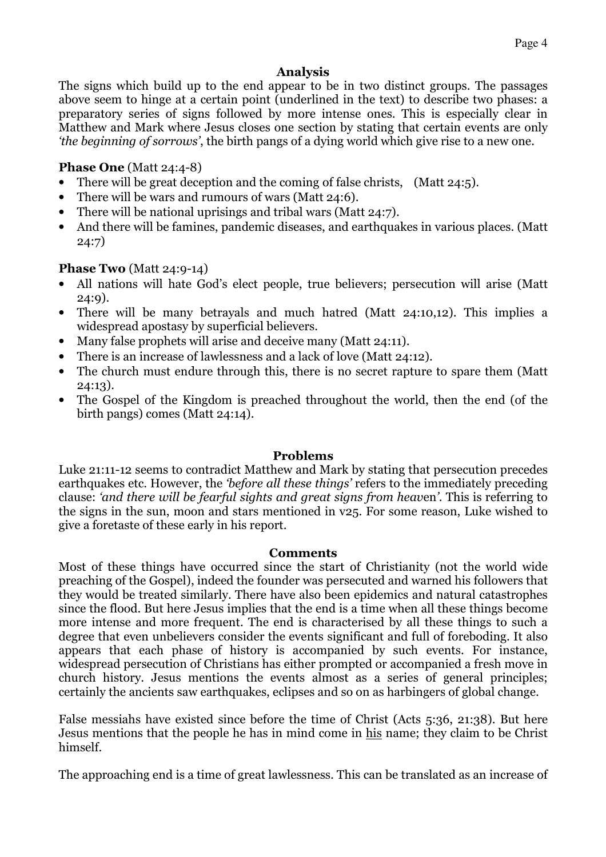#### Analysis

The signs which build up to the end appear to be in two distinct groups. The passages above seem to hinge at a certain point (underlined in the text) to describe two phases: a preparatory series of signs followed by more intense ones. This is especially clear in Matthew and Mark where Jesus closes one section by stating that certain events are only 'the beginning of sorrows', the birth pangs of a dying world which give rise to a new one.

#### Phase One (Matt 24:4-8)

- There will be great deception and the coming of false christs, (Matt 24:5).
- There will be wars and rumours of wars (Matt 24:6).
- There will be national uprisings and tribal wars (Matt 24:7).
- And there will be famines, pandemic diseases, and earthquakes in various places. (Matt 24:7)

#### Phase Two (Matt 24:9-14)

- All nations will hate God's elect people, true believers; persecution will arise (Matt 24:9).
- There will be many betrayals and much hatred (Matt 24:10,12). This implies a widespread apostasy by superficial believers.
- Many false prophets will arise and deceive many (Matt 24:11).
- There is an increase of lawlessness and a lack of love (Matt 24:12).
- The church must endure through this, there is no secret rapture to spare them (Matt) 24:13).
- The Gospel of the Kingdom is preached throughout the world, then the end (of the birth pangs) comes (Matt 24:14).

#### Problems

Luke 21:11-12 seems to contradict Matthew and Mark by stating that persecution precedes earthquakes etc. However, the 'before all these things' refers to the immediately preceding clause: 'and there will be fearful sights and great signs from heaven'. This is referring to the signs in the sun, moon and stars mentioned in v25. For some reason, Luke wished to give a foretaste of these early in his report.

#### **Comments**

Most of these things have occurred since the start of Christianity (not the world wide preaching of the Gospel), indeed the founder was persecuted and warned his followers that they would be treated similarly. There have also been epidemics and natural catastrophes since the flood. But here Jesus implies that the end is a time when all these things become more intense and more frequent. The end is characterised by all these things to such a degree that even unbelievers consider the events significant and full of foreboding. It also appears that each phase of history is accompanied by such events. For instance, widespread persecution of Christians has either prompted or accompanied a fresh move in church history. Jesus mentions the events almost as a series of general principles; certainly the ancients saw earthquakes, eclipses and so on as harbingers of global change.

False messiahs have existed since before the time of Christ (Acts 5:36, 21:38). But here Jesus mentions that the people he has in mind come in his name; they claim to be Christ himself.

The approaching end is a time of great lawlessness. This can be translated as an increase of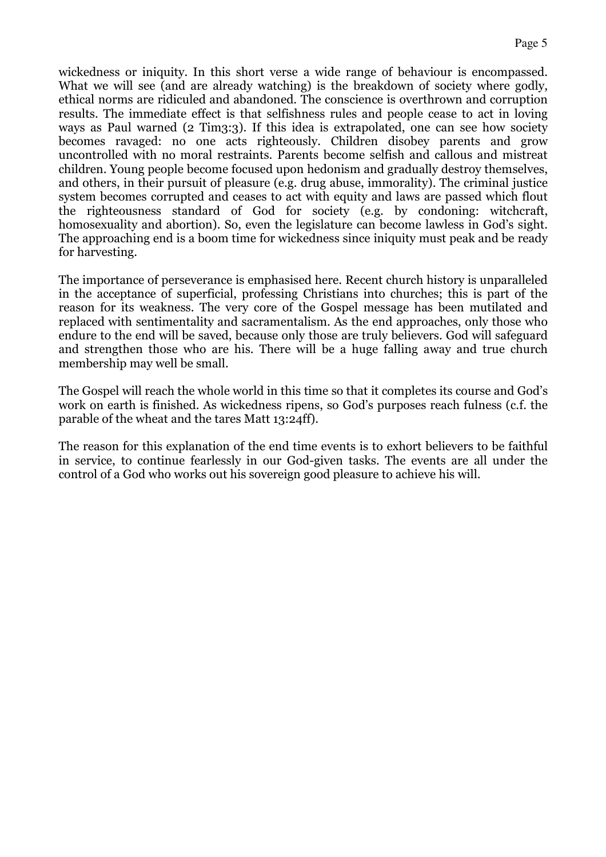wickedness or iniquity. In this short verse a wide range of behaviour is encompassed. What we will see (and are already watching) is the breakdown of society where godly, ethical norms are ridiculed and abandoned. The conscience is overthrown and corruption results. The immediate effect is that selfishness rules and people cease to act in loving ways as Paul warned (2 Tim3:3). If this idea is extrapolated, one can see how society becomes ravaged: no one acts righteously. Children disobey parents and grow uncontrolled with no moral restraints. Parents become selfish and callous and mistreat children. Young people become focused upon hedonism and gradually destroy themselves, and others, in their pursuit of pleasure (e.g. drug abuse, immorality). The criminal justice system becomes corrupted and ceases to act with equity and laws are passed which flout the righteousness standard of God for society (e.g. by condoning: witchcraft, homosexuality and abortion). So, even the legislature can become lawless in God's sight. The approaching end is a boom time for wickedness since iniquity must peak and be ready for harvesting.

The importance of perseverance is emphasised here. Recent church history is unparalleled in the acceptance of superficial, professing Christians into churches; this is part of the reason for its weakness. The very core of the Gospel message has been mutilated and replaced with sentimentality and sacramentalism. As the end approaches, only those who endure to the end will be saved, because only those are truly believers. God will safeguard and strengthen those who are his. There will be a huge falling away and true church membership may well be small.

The Gospel will reach the whole world in this time so that it completes its course and God's work on earth is finished. As wickedness ripens, so God's purposes reach fulness (c.f. the parable of the wheat and the tares Matt 13:24ff).

The reason for this explanation of the end time events is to exhort believers to be faithful in service, to continue fearlessly in our God-given tasks. The events are all under the control of a God who works out his sovereign good pleasure to achieve his will.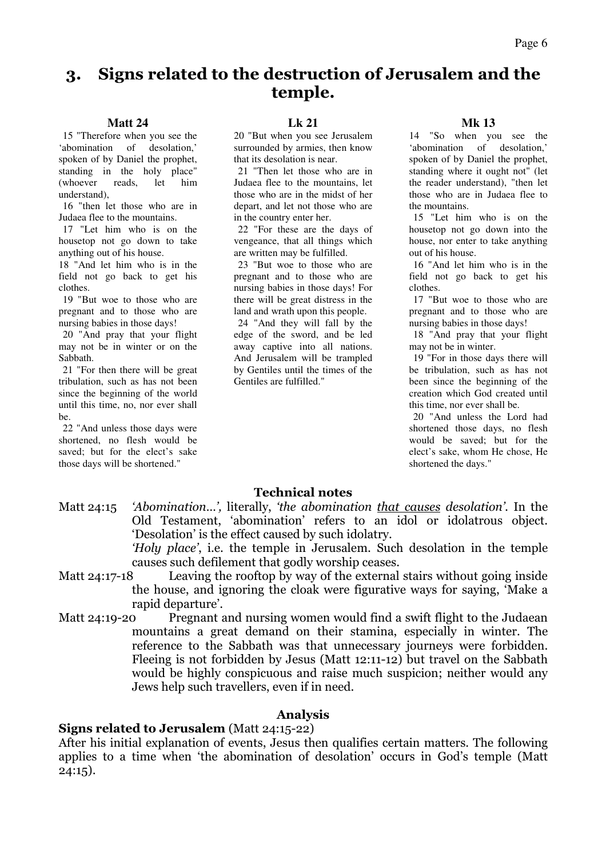### 3. Signs related to the destruction of Jerusalem and the temple.

#### **Matt 24**

 15 "Therefore when you see the 'abomination of desolation,' spoken of by Daniel the prophet, standing in the holy place" (whoever reads, let him understand),

 16 "then let those who are in Judaea flee to the mountains.

 17 "Let him who is on the housetop not go down to take anything out of his house.

18 "And let him who is in the field not go back to get his clothes.

 19 "But woe to those who are pregnant and to those who are nursing babies in those days!

 20 "And pray that your flight may not be in winter or on the Sabbath.

 21 "For then there will be great tribulation, such as has not been since the beginning of the world until this time, no, nor ever shall be.

 22 "And unless those days were shortened, no flesh would be saved; but for the elect's sake those days will be shortened."

#### **Lk 21**

20 "But when you see Jerusalem surrounded by armies, then know that its desolation is near.

 21 "Then let those who are in Judaea flee to the mountains, let those who are in the midst of her depart, and let not those who are in the country enter her.

 22 "For these are the days of vengeance, that all things which are written may be fulfilled.

 23 "But woe to those who are pregnant and to those who are nursing babies in those days! For there will be great distress in the land and wrath upon this people.

 24 "And they will fall by the edge of the sword, and be led away captive into all nations. And Jerusalem will be trampled by Gentiles until the times of the Gentiles are fulfilled."

#### **Mk 13**

14 "So when you see the 'abomination of desolation,' spoken of by Daniel the prophet, standing where it ought not" (let the reader understand), "then let those who are in Judaea flee to the mountains.

 15 "Let him who is on the housetop not go down into the house, nor enter to take anything out of his house.

 16 "And let him who is in the field not go back to get his clothes.

 17 "But woe to those who are pregnant and to those who are nursing babies in those days!

 18 "And pray that your flight may not be in winter.

 19 "For in those days there will be tribulation, such as has not been since the beginning of the creation which God created until this time, nor ever shall be.

 20 "And unless the Lord had shortened those days, no flesh would be saved; but for the elect's sake, whom He chose, He shortened the days."

#### Technical notes

Matt 24:15 'Abomination…', literally, 'the abomination that causes desolation'. In the Old Testament, 'abomination' refers to an idol or idolatrous object. 'Desolation' is the effect caused by such idolatry.

'Holy place', i.e. the temple in Jerusalem. Such desolation in the temple causes such defilement that godly worship ceases.

- Matt 24:17-18 Leaving the rooftop by way of the external stairs without going inside the house, and ignoring the cloak were figurative ways for saying, 'Make a rapid departure'.
- Matt 24:19-20 Pregnant and nursing women would find a swift flight to the Judaean mountains a great demand on their stamina, especially in winter. The reference to the Sabbath was that unnecessary journeys were forbidden. Fleeing is not forbidden by Jesus (Matt 12:11-12) but travel on the Sabbath would be highly conspicuous and raise much suspicion; neither would any Jews help such travellers, even if in need.

#### Analysis

#### Signs related to Jerusalem (Matt 24:15-22)

After his initial explanation of events, Jesus then qualifies certain matters. The following applies to a time when 'the abomination of desolation' occurs in God's temple (Matt  $24:15$ ).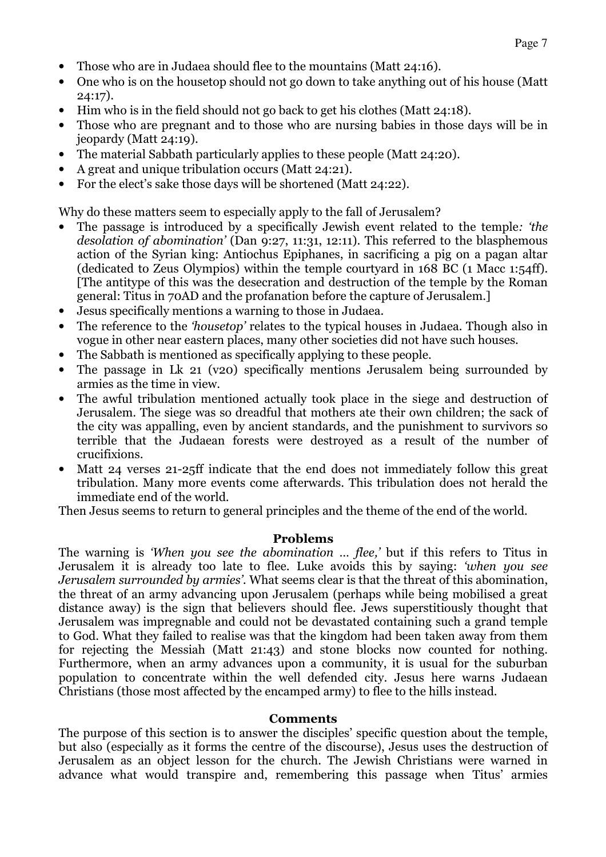- Those who are in Judaea should flee to the mountains (Matt 24:16).
- One who is on the housetop should not go down to take anything out of his house (Matt 24:17).
- Him who is in the field should not go back to get his clothes (Matt 24:18).
- Those who are pregnant and to those who are nursing babies in those days will be in jeopardy (Matt 24:19).
- The material Sabbath particularly applies to these people (Matt 24:20).
- A great and unique tribulation occurs (Matt 24:21).
- For the elect's sake those days will be shortened (Matt 24:22).

Why do these matters seem to especially apply to the fall of Jerusalem?

- The passage is introduced by a specifically Jewish event related to the temple: 'the desolation of abomination' (Dan 9:27, 11:31, 12:11). This referred to the blasphemous action of the Syrian king: Antiochus Epiphanes, in sacrificing a pig on a pagan altar (dedicated to Zeus Olympios) within the temple courtyard in 168 BC (1 Macc 1:54ff). [The antitype of this was the desecration and destruction of the temple by the Roman general: Titus in 70AD and the profanation before the capture of Jerusalem.]
- Jesus specifically mentions a warning to those in Judaea.
- The reference to the 'housetop' relates to the typical houses in Judaea. Though also in vogue in other near eastern places, many other societies did not have such houses.
- The Sabbath is mentioned as specifically applying to these people.
- The passage in Lk 21 (v20) specifically mentions Jerusalem being surrounded by armies as the time in view.
- The awful tribulation mentioned actually took place in the siege and destruction of Jerusalem. The siege was so dreadful that mothers ate their own children; the sack of the city was appalling, even by ancient standards, and the punishment to survivors so terrible that the Judaean forests were destroyed as a result of the number of crucifixions.
- Matt 24 verses 21-25ff indicate that the end does not immediately follow this great tribulation. Many more events come afterwards. This tribulation does not herald the immediate end of the world.

Then Jesus seems to return to general principles and the theme of the end of the world.

#### Problems

The warning is 'When you see the abomination ... flee,' but if this refers to Titus in Jerusalem it is already too late to flee. Luke avoids this by saying: 'when you see Jerusalem surrounded by armies'. What seems clear is that the threat of this abomination, the threat of an army advancing upon Jerusalem (perhaps while being mobilised a great distance away) is the sign that believers should flee. Jews superstitiously thought that Jerusalem was impregnable and could not be devastated containing such a grand temple to God. What they failed to realise was that the kingdom had been taken away from them for rejecting the Messiah (Matt 21:43) and stone blocks now counted for nothing. Furthermore, when an army advances upon a community, it is usual for the suburban population to concentrate within the well defended city. Jesus here warns Judaean Christians (those most affected by the encamped army) to flee to the hills instead.

#### Comments

The purpose of this section is to answer the disciples' specific question about the temple, but also (especially as it forms the centre of the discourse), Jesus uses the destruction of Jerusalem as an object lesson for the church. The Jewish Christians were warned in advance what would transpire and, remembering this passage when Titus' armies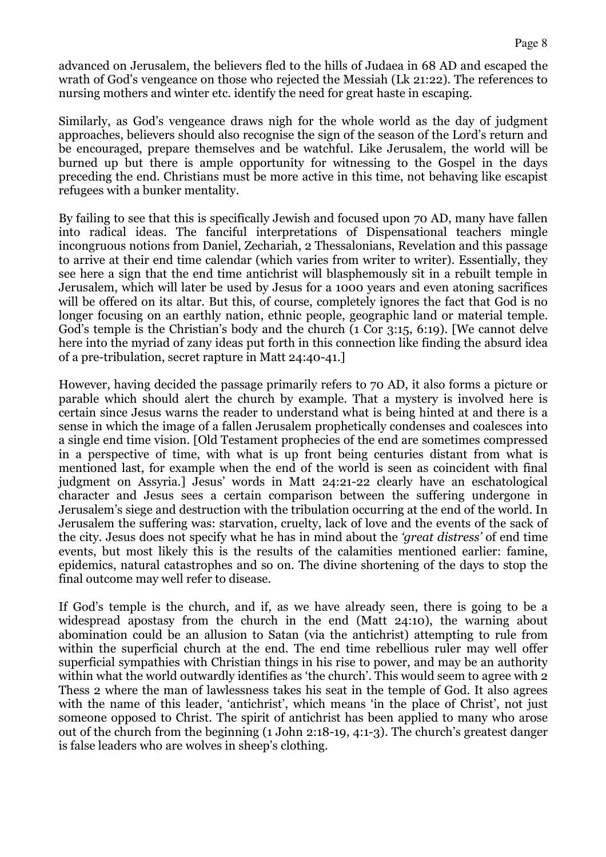advanced on Jerusalem, the believers fled to the hills of Judaea in 68 AD and escaped the wrath of God's vengeance on those who rejected the Messiah (Lk 21:22). The references to nursing mothers and winter etc. identify the need for great haste in escaping.

Similarly, as God's vengeance draws nigh for the whole world as the day of judgment approaches, believers should also recognise the sign of the season of the Lord's return and be encouraged, prepare themselves and be watchful. Like Jerusalem, the world will be burned up but there is ample opportunity for witnessing to the Gospel in the days preceding the end. Christians must be more active in this time, not behaving like escapist refugees with a bunker mentality.

By failing to see that this is specifically Jewish and focused upon 70 AD, many have fallen into radical ideas. The fanciful interpretations of Dispensational teachers mingle incongruous notions from Daniel, Zechariah, 2 Thessalonians, Revelation and this passage to arrive at their end time calendar (which varies from writer to writer). Essentially, they see here a sign that the end time antichrist will blasphemously sit in a rebuilt temple in Jerusalem, which will later be used by Jesus for a 1000 years and even atoning sacrifices will be offered on its altar. But this, of course, completely ignores the fact that God is no longer focusing on an earthly nation, ethnic people, geographic land or material temple. God's temple is the Christian's body and the church (1 Cor 3:15, 6:19). [We cannot delve here into the myriad of zany ideas put forth in this connection like finding the absurd idea of a pre-tribulation, secret rapture in Matt 24:40-41.]

However, having decided the passage primarily refers to 70 AD, it also forms a picture or parable which should alert the church by example. That a mystery is involved here is certain since Jesus warns the reader to understand what is being hinted at and there is a sense in which the image of a fallen Jerusalem prophetically condenses and coalesces into a single end time vision. [Old Testament prophecies of the end are sometimes compressed in a perspective of time, with what is up front being centuries distant from what is mentioned last, for example when the end of the world is seen as coincident with final judgment on Assyria.] Jesus' words in Matt 24:21-22 clearly have an eschatological character and Jesus sees a certain comparison between the suffering undergone in Jerusalem's siege and destruction with the tribulation occurring at the end of the world. In Jerusalem the suffering was: starvation, cruelty, lack of love and the events of the sack of the city. Jesus does not specify what he has in mind about the 'great distress' of end time events, but most likely this is the results of the calamities mentioned earlier: famine, epidemics, natural catastrophes and so on. The divine shortening of the days to stop the final outcome may well refer to disease.

If God's temple is the church, and if, as we have already seen, there is going to be a widespread apostasy from the church in the end (Matt 24:10), the warning about abomination could be an allusion to Satan (via the antichrist) attempting to rule from within the superficial church at the end. The end time rebellious ruler may well offer superficial sympathies with Christian things in his rise to power, and may be an authority within what the world outwardly identifies as 'the church'. This would seem to agree with 2 Thess 2 where the man of lawlessness takes his seat in the temple of God. It also agrees with the name of this leader, 'antichrist', which means 'in the place of Christ', not just someone opposed to Christ. The spirit of antichrist has been applied to many who arose out of the church from the beginning (1 John 2:18-19, 4:1-3). The church's greatest danger is false leaders who are wolves in sheep's clothing.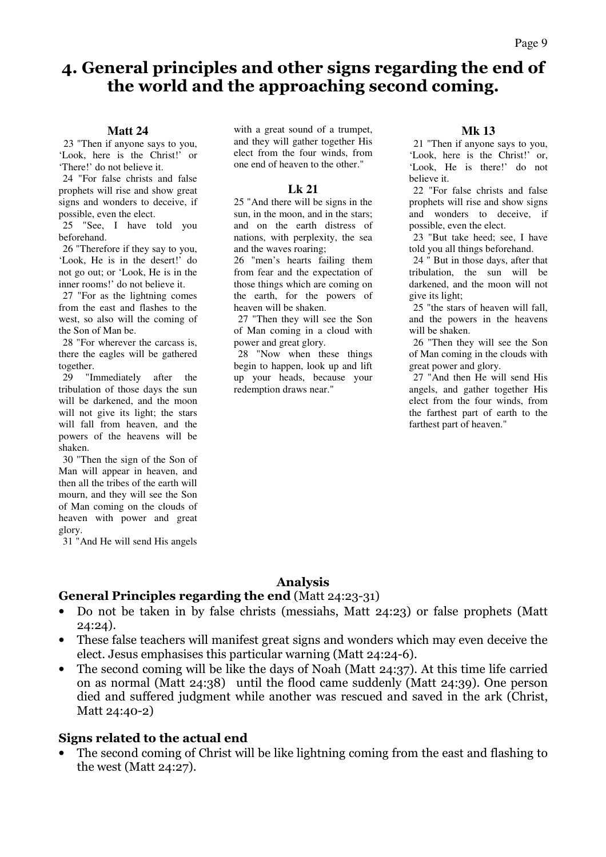### 4. General principles and other signs regarding the end of the world and the approaching second coming.

#### **Matt 24**

23 "Then if anyone says to you, 'Look, here is the Christ!' or 'There!' do not believe it.

 24 "For false christs and false prophets will rise and show great signs and wonders to deceive, if possible, even the elect.

 25 "See, I have told you beforehand.

 26 "Therefore if they say to you, 'Look, He is in the desert!' do not go out; or 'Look, He is in the inner rooms!' do not believe it.

 27 "For as the lightning comes from the east and flashes to the west, so also will the coming of the Son of Man be.

 28 "For wherever the carcass is, there the eagles will be gathered together.<br>29 "It

"Immediately after the tribulation of those days the sun will be darkened, and the moon will not give its light; the stars will fall from heaven, and the powers of the heavens will be shaken.

 30 "Then the sign of the Son of Man will appear in heaven, and then all the tribes of the earth will mourn, and they will see the Son of Man coming on the clouds of heaven with power and great glory.

31 "And He will send His angels

with a great sound of a trumpet, and they will gather together His elect from the four winds, from one end of heaven to the other."

#### **Lk 21**

25 "And there will be signs in the sun, in the moon, and in the stars; and on the earth distress of nations, with perplexity, the sea and the waves roaring;

26 "men's hearts failing them from fear and the expectation of those things which are coming on the earth, for the powers of heaven will be shaken.

 27 "Then they will see the Son of Man coming in a cloud with power and great glory.

 28 "Now when these things begin to happen, look up and lift up your heads, because your redemption draws near."

#### **Mk 13**

21 "Then if anyone says to you, 'Look, here is the Christ!' or, 'Look, He is there!' do not believe it.

 22 "For false christs and false prophets will rise and show signs and wonders to deceive, if possible, even the elect.

 23 "But take heed; see, I have told you all things beforehand.

 24 " But in those days, after that tribulation, the sun will be darkened, and the moon will not give its light;

 25 "the stars of heaven will fall, and the powers in the heavens will be shaken.

 26 "Then they will see the Son of Man coming in the clouds with great power and glory.

 27 "And then He will send His angels, and gather together His elect from the four winds, from the farthest part of earth to the farthest part of heaven."

#### Analysis

#### General Principles regarding the end (Matt 24:23-31)

- Do not be taken in by false christs (messiahs, Matt 24:23) or false prophets (Matt 24:24).
- These false teachers will manifest great signs and wonders which may even deceive the elect. Jesus emphasises this particular warning (Matt 24:24-6).
- The second coming will be like the days of Noah (Matt 24:37). At this time life carried on as normal (Matt 24:38) until the flood came suddenly (Matt 24:39). One person died and suffered judgment while another was rescued and saved in the ark (Christ, Matt 24:40-2)

#### Signs related to the actual end

• The second coming of Christ will be like lightning coming from the east and flashing to the west (Matt 24:27).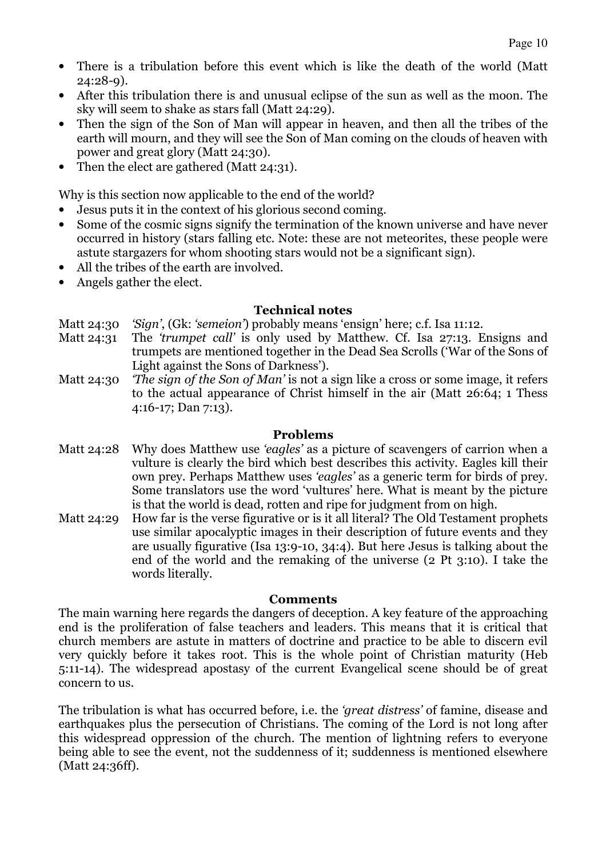- There is a tribulation before this event which is like the death of the world (Matt 24:28-9).
- After this tribulation there is and unusual eclipse of the sun as well as the moon. The sky will seem to shake as stars fall (Matt 24:29).
- Then the sign of the Son of Man will appear in heaven, and then all the tribes of the earth will mourn, and they will see the Son of Man coming on the clouds of heaven with power and great glory (Matt 24:30).
- Then the elect are gathered (Matt 24:31).

Why is this section now applicable to the end of the world?

- Jesus puts it in the context of his glorious second coming.
- Some of the cosmic signs signify the termination of the known universe and have never occurred in history (stars falling etc. Note: these are not meteorites, these people were astute stargazers for whom shooting stars would not be a significant sign).
- All the tribes of the earth are involved.
- Angels gather the elect.

#### Technical notes

- Matt 24:30 'Sign', (Gk: 'semeion') probably means 'ensign' here; c.f. Isa 11:12.
- Matt 24:31 The *'trumpet call'* is only used by Matthew. Cf. Isa 27:13. Ensigns and trumpets are mentioned together in the Dead Sea Scrolls ('War of the Sons of Light against the Sons of Darkness').
- Matt 24:30 *The sign of the Son of Man'* is not a sign like a cross or some image, it refers to the actual appearance of Christ himself in the air (Matt 26:64; 1 Thess 4:16-17; Dan 7:13).

#### Problems

- Matt 24:28 Why does Matthew use 'eagles' as a picture of scavengers of carrion when a vulture is clearly the bird which best describes this activity. Eagles kill their own prey. Perhaps Matthew uses 'eagles' as a generic term for birds of prey. Some translators use the word 'vultures' here. What is meant by the picture is that the world is dead, rotten and ripe for judgment from on high.
- Matt 24:29 How far is the verse figurative or is it all literal? The Old Testament prophets use similar apocalyptic images in their description of future events and they are usually figurative (Isa 13:9-10, 34:4). But here Jesus is talking about the end of the world and the remaking of the universe (2 Pt 3:10). I take the words literally.

#### Comments

The main warning here regards the dangers of deception. A key feature of the approaching end is the proliferation of false teachers and leaders. This means that it is critical that church members are astute in matters of doctrine and practice to be able to discern evil very quickly before it takes root. This is the whole point of Christian maturity (Heb 5:11-14). The widespread apostasy of the current Evangelical scene should be of great concern to us.

The tribulation is what has occurred before, i.e. the *'great distress'* of famine, disease and earthquakes plus the persecution of Christians. The coming of the Lord is not long after this widespread oppression of the church. The mention of lightning refers to everyone being able to see the event, not the suddenness of it; suddenness is mentioned elsewhere (Matt 24:36ff).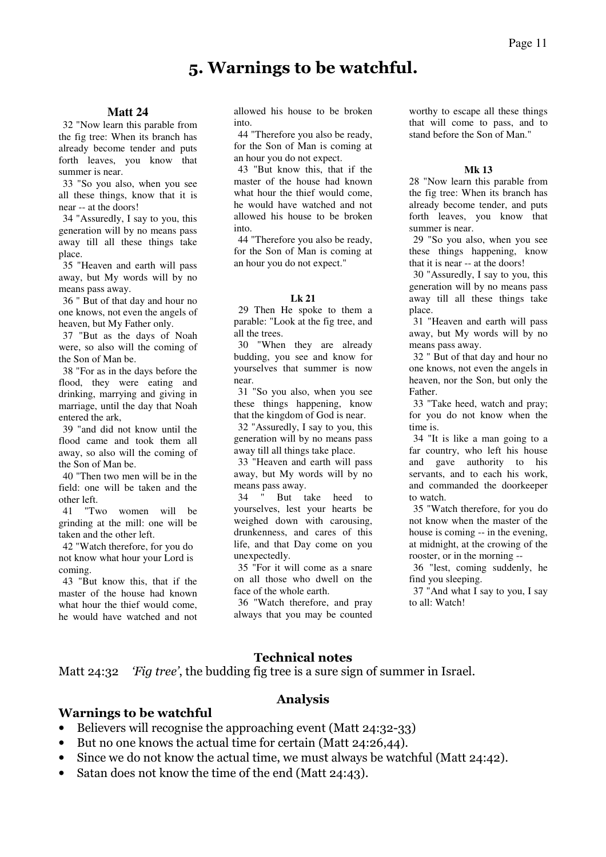### 5. Warnings to be watchful.

**Matt 24**  32 "Now learn this parable from the fig tree: When its branch has already become tender and puts forth leaves, you know that summer is near.

 33 "So you also, when you see all these things, know that it is near -- at the doors!

 34 "Assuredly, I say to you, this generation will by no means pass away till all these things take place.

 35 "Heaven and earth will pass away, but My words will by no means pass away.

 36 " But of that day and hour no one knows, not even the angels of heaven, but My Father only.

 37 "But as the days of Noah were, so also will the coming of the Son of Man be.

 38 "For as in the days before the flood, they were eating and drinking, marrying and giving in marriage, until the day that Noah entered the ark,

 39 "and did not know until the flood came and took them all away, so also will the coming of the Son of Man be.

 40 "Then two men will be in the field: one will be taken and the other left.

 41 "Two women will be grinding at the mill: one will be taken and the other left.

 42 "Watch therefore, for you do not know what hour your Lord is coming.

 43 "But know this, that if the master of the house had known what hour the thief would come, he would have watched and not

allowed his house to be broken into.

 44 "Therefore you also be ready, for the Son of Man is coming at an hour you do not expect.

 43 "But know this, that if the master of the house had known what hour the thief would come. he would have watched and not allowed his house to be broken into.

 44 "Therefore you also be ready, for the Son of Man is coming at an hour you do not expect."

#### **Lk 21**

29 Then He spoke to them a parable: "Look at the fig tree, and all the trees.

 30 "When they are already budding, you see and know for yourselves that summer is now near.

 31 "So you also, when you see these things happening, know that the kingdom of God is near.

 32 "Assuredly, I say to you, this generation will by no means pass away till all things take place.

 33 "Heaven and earth will pass away, but My words will by no means pass away.

 34 " But take heed to yourselves, lest your hearts be weighed down with carousing, drunkenness, and cares of this life, and that Day come on you unexpectedly.

 35 "For it will come as a snare on all those who dwell on the face of the whole earth.

 36 "Watch therefore, and pray always that you may be counted worthy to escape all these things that will come to pass, and to stand before the Son of Man."

#### **Mk 13**

28 "Now learn this parable from the fig tree: When its branch has already become tender, and puts forth leaves, you know that summer is near.

 29 "So you also, when you see these things happening, know that it is near -- at the doors!

 30 "Assuredly, I say to you, this generation will by no means pass away till all these things take place.

 31 "Heaven and earth will pass away, but My words will by no means pass away.

 32 " But of that day and hour no one knows, not even the angels in heaven, nor the Son, but only the Father.

 33 "Take heed, watch and pray; for you do not know when the time is.

 34 "It is like a man going to a far country, who left his house and gave authority to his servants, and to each his work, and commanded the doorkeeper to watch.

 35 "Watch therefore, for you do not know when the master of the house is coming -- in the evening, at midnight, at the crowing of the rooster, or in the morning --

 36 "lest, coming suddenly, he find you sleeping.

 37 "And what I say to you, I say to all: Watch!

#### Technical notes

Matt 24:32 *'Fig tree'*, the budding fig tree is a sure sign of summer in Israel.

### Analysis

#### Warnings to be watchful

- Believers will recognise the approaching event (Matt 24:32-33)
- But no one knows the actual time for certain (Matt 24:26,44).
- Since we do not know the actual time, we must always be watchful (Matt 24:42).
- Satan does not know the time of the end (Matt 24:43).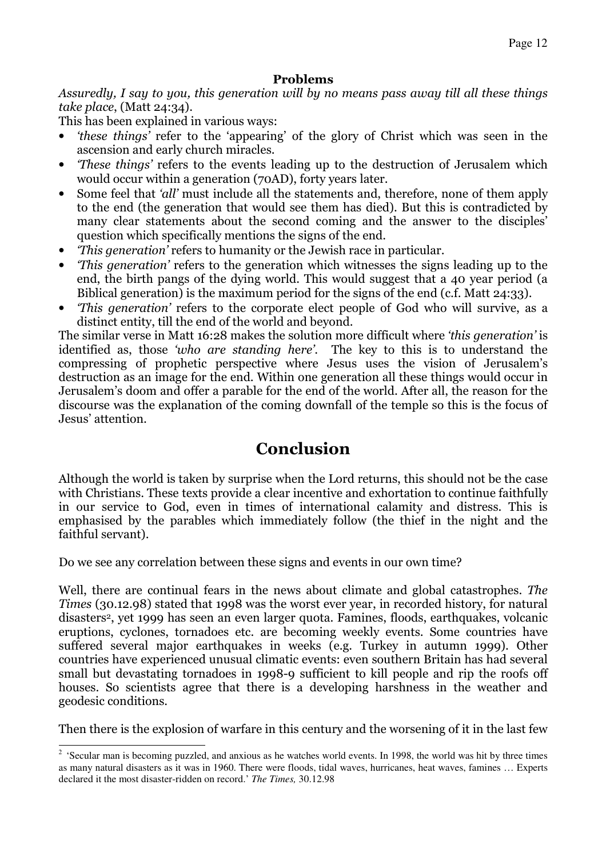#### Problems

Assuredly, I say to you, this generation will by no means pass away till all these things take place, (Matt 24:34).

This has been explained in various ways:

- 'these things' refer to the 'appearing' of the glory of Christ which was seen in the ascension and early church miracles.
- *These things'* refers to the events leading up to the destruction of Jerusalem which would occur within a generation (70AD), forty years later.
- Some feel that 'all' must include all the statements and, therefore, none of them apply to the end (the generation that would see them has died). But this is contradicted by many clear statements about the second coming and the answer to the disciples' question which specifically mentions the signs of the end.
- This generation' refers to humanity or the Jewish race in particular.
- This generation' refers to the generation which witnesses the signs leading up to the end, the birth pangs of the dying world. This would suggest that a 40 year period (a Biblical generation) is the maximum period for the signs of the end (c.f. Matt 24:33).
- 'This generation' refers to the corporate elect people of God who will survive, as a distinct entity, till the end of the world and beyond.

The similar verse in Matt 16:28 makes the solution more difficult where 'this generation' is identified as, those 'who are standing here'. The key to this is to understand the compressing of prophetic perspective where Jesus uses the vision of Jerusalem's destruction as an image for the end. Within one generation all these things would occur in Jerusalem's doom and offer a parable for the end of the world. After all, the reason for the discourse was the explanation of the coming downfall of the temple so this is the focus of Jesus' attention.

## Conclusion

Although the world is taken by surprise when the Lord returns, this should not be the case with Christians. These texts provide a clear incentive and exhortation to continue faithfully in our service to God, even in times of international calamity and distress. This is emphasised by the parables which immediately follow (the thief in the night and the faithful servant).

Do we see any correlation between these signs and events in our own time?

Well, there are continual fears in the news about climate and global catastrophes. The Times (30.12.98) stated that 1998 was the worst ever year, in recorded history, for natural disasters2, yet 1999 has seen an even larger quota. Famines, floods, earthquakes, volcanic eruptions, cyclones, tornadoes etc. are becoming weekly events. Some countries have suffered several major earthquakes in weeks (e.g. Turkey in autumn 1999). Other countries have experienced unusual climatic events: even southern Britain has had several small but devastating tornadoes in 1998-9 sufficient to kill people and rip the roofs off houses. So scientists agree that there is a developing harshness in the weather and geodesic conditions.

Then there is the explosion of warfare in this century and the worsening of it in the last few

<sup>&</sup>lt;sup>2</sup> 'Secular man is becoming puzzled, and anxious as he watches world events. In 1998, the world was hit by three times as many natural disasters as it was in 1960. There were floods, tidal waves, hurricanes, heat waves, famines … Experts declared it the most disaster-ridden on record.' *The Times,* 30.12.98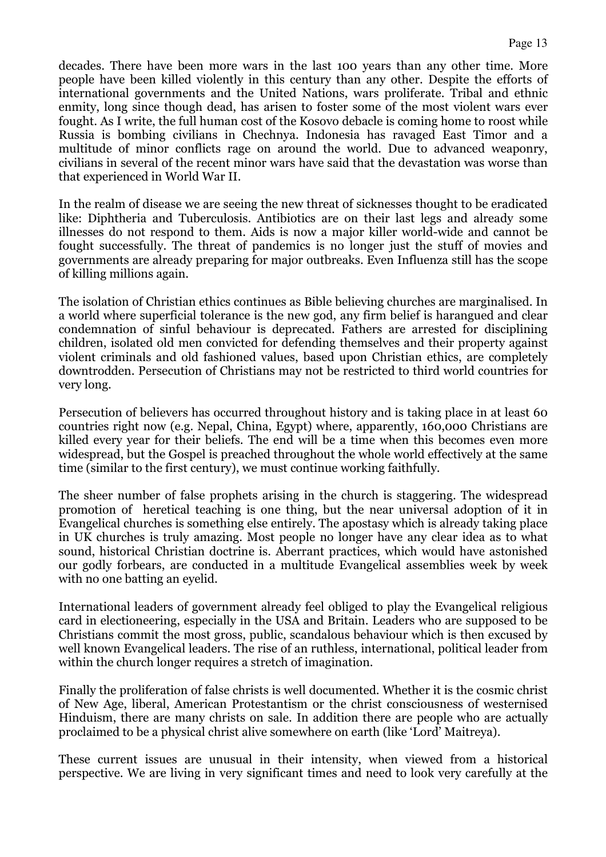decades. There have been more wars in the last 100 years than any other time. More people have been killed violently in this century than any other. Despite the efforts of international governments and the United Nations, wars proliferate. Tribal and ethnic enmity, long since though dead, has arisen to foster some of the most violent wars ever fought. As I write, the full human cost of the Kosovo debacle is coming home to roost while Russia is bombing civilians in Chechnya. Indonesia has ravaged East Timor and a multitude of minor conflicts rage on around the world. Due to advanced weaponry, civilians in several of the recent minor wars have said that the devastation was worse than that experienced in World War II.

In the realm of disease we are seeing the new threat of sicknesses thought to be eradicated like: Diphtheria and Tuberculosis. Antibiotics are on their last legs and already some illnesses do not respond to them. Aids is now a major killer world-wide and cannot be fought successfully. The threat of pandemics is no longer just the stuff of movies and governments are already preparing for major outbreaks. Even Influenza still has the scope of killing millions again.

The isolation of Christian ethics continues as Bible believing churches are marginalised. In a world where superficial tolerance is the new god, any firm belief is harangued and clear condemnation of sinful behaviour is deprecated. Fathers are arrested for disciplining children, isolated old men convicted for defending themselves and their property against violent criminals and old fashioned values, based upon Christian ethics, are completely downtrodden. Persecution of Christians may not be restricted to third world countries for very long.

Persecution of believers has occurred throughout history and is taking place in at least 60 countries right now (e.g. Nepal, China, Egypt) where, apparently, 160,000 Christians are killed every year for their beliefs. The end will be a time when this becomes even more widespread, but the Gospel is preached throughout the whole world effectively at the same time (similar to the first century), we must continue working faithfully.

The sheer number of false prophets arising in the church is staggering. The widespread promotion of heretical teaching is one thing, but the near universal adoption of it in Evangelical churches is something else entirely. The apostasy which is already taking place in UK churches is truly amazing. Most people no longer have any clear idea as to what sound, historical Christian doctrine is. Aberrant practices, which would have astonished our godly forbears, are conducted in a multitude Evangelical assemblies week by week with no one batting an eyelid.

International leaders of government already feel obliged to play the Evangelical religious card in electioneering, especially in the USA and Britain. Leaders who are supposed to be Christians commit the most gross, public, scandalous behaviour which is then excused by well known Evangelical leaders. The rise of an ruthless, international, political leader from within the church longer requires a stretch of imagination.

Finally the proliferation of false christs is well documented. Whether it is the cosmic christ of New Age, liberal, American Protestantism or the christ consciousness of westernised Hinduism, there are many christs on sale. In addition there are people who are actually proclaimed to be a physical christ alive somewhere on earth (like 'Lord' Maitreya).

These current issues are unusual in their intensity, when viewed from a historical perspective. We are living in very significant times and need to look very carefully at the